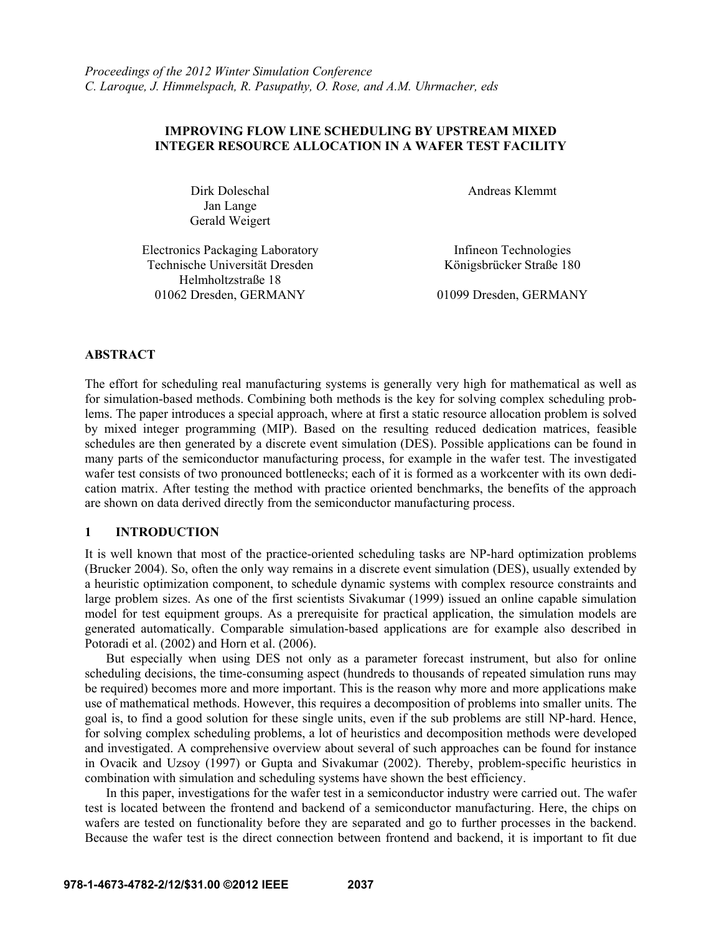## **IMPROVING FLOW LINE SCHEDULING BY UPSTREAM MIXED INTEGER RESOURCE ALLOCATION IN A WAFER TEST FACILITY**

Jan Lange Gerald Weigert

Electronics Packaging Laboratory Infineon Technologies Technische Universität Dresden Königsbrücker Straße 180 Helmholtzstraße 18 01062 Dresden, GERMANY 01099 Dresden, GERMANY

Dirk Doleschal Andreas Klemmt

### **ABSTRACT**

The effort for scheduling real manufacturing systems is generally very high for mathematical as well as for simulation-based methods. Combining both methods is the key for solving complex scheduling problems. The paper introduces a special approach, where at first a static resource allocation problem is solved by mixed integer programming (MIP). Based on the resulting reduced dedication matrices, feasible schedules are then generated by a discrete event simulation (DES). Possible applications can be found in many parts of the semiconductor manufacturing process, for example in the wafer test. The investigated wafer test consists of two pronounced bottlenecks; each of it is formed as a workcenter with its own dedication matrix. After testing the method with practice oriented benchmarks, the benefits of the approach are shown on data derived directly from the semiconductor manufacturing process.

## **1 INTRODUCTION**

It is well known that most of the practice-oriented scheduling tasks are NP-hard optimization problems (Brucker 2004). So, often the only way remains in a discrete event simulation (DES), usually extended by a heuristic optimization component, to schedule dynamic systems with complex resource constraints and large problem sizes. As one of the first scientists Sivakumar (1999) issued an online capable simulation model for test equipment groups. As a prerequisite for practical application, the simulation models are generated automatically. Comparable simulation-based applications are for example also described in Potoradi et al. (2002) and Horn et al. (2006).

But especially when using DES not only as a parameter forecast instrument, but also for online scheduling decisions, the time-consuming aspect (hundreds to thousands of repeated simulation runs may be required) becomes more and more important. This is the reason why more and more applications make use of mathematical methods. However, this requires a decomposition of problems into smaller units. The goal is, to find a good solution for these single units, even if the sub problems are still NP-hard. Hence, for solving complex scheduling problems, a lot of heuristics and decomposition methods were developed and investigated. A comprehensive overview about several of such approaches can be found for instance in Ovacik and Uzsoy (1997) or Gupta and Sivakumar (2002). Thereby, problem-specific heuristics in combination with simulation and scheduling systems have shown the best efficiency.

In this paper, investigations for the wafer test in a semiconductor industry were carried out. The wafer test is located between the frontend and backend of a semiconductor manufacturing. Here, the chips on wafers are tested on functionality before they are separated and go to further processes in the backend. Because the wafer test is the direct connection between frontend and backend, it is important to fit due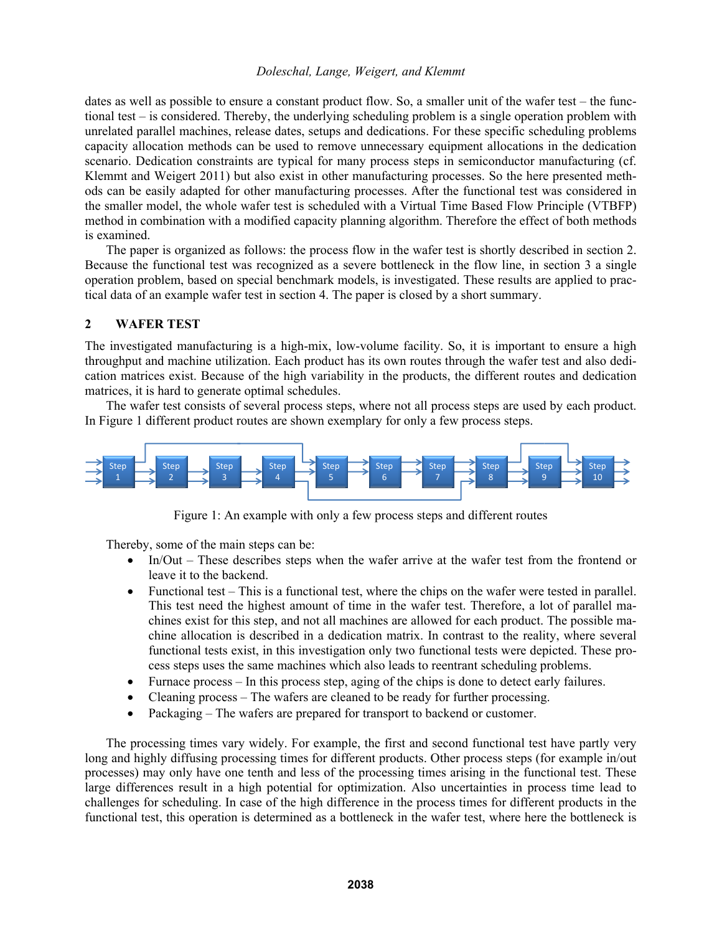dates as well as possible to ensure a constant product flow. So, a smaller unit of the wafer test – the functional test – is considered. Thereby, the underlying scheduling problem is a single operation problem with unrelated parallel machines, release dates, setups and dedications. For these specific scheduling problems capacity allocation methods can be used to remove unnecessary equipment allocations in the dedication scenario. Dedication constraints are typical for many process steps in semiconductor manufacturing (cf. Klemmt and Weigert 2011) but also exist in other manufacturing processes. So the here presented methods can be easily adapted for other manufacturing processes. After the functional test was considered in the smaller model, the whole wafer test is scheduled with a Virtual Time Based Flow Principle (VTBFP) method in combination with a modified capacity planning algorithm. Therefore the effect of both methods is examined.

The paper is organized as follows: the process flow in the wafer test is shortly described in section 2. Because the functional test was recognized as a severe bottleneck in the flow line, in section 3 a single operation problem, based on special benchmark models, is investigated. These results are applied to practical data of an example wafer test in section 4. The paper is closed by a short summary.

# **2 WAFER TEST**

The investigated manufacturing is a high-mix, low-volume facility. So, it is important to ensure a high throughput and machine utilization. Each product has its own routes through the wafer test and also dedication matrices exist. Because of the high variability in the products, the different routes and dedication matrices, it is hard to generate optimal schedules.

The wafer test consists of several process steps, where not all process steps are used by each product. In Figure 1 different product routes are shown exemplary for only a few process steps.



Figure 1: An example with only a few process steps and different routes

Thereby, some of the main steps can be:

- In/Out These describes steps when the wafer arrive at the wafer test from the frontend or leave it to the backend.
- Functional test This is a functional test, where the chips on the wafer were tested in parallel. This test need the highest amount of time in the wafer test. Therefore, a lot of parallel machines exist for this step, and not all machines are allowed for each product. The possible machine allocation is described in a dedication matrix. In contrast to the reality, where several functional tests exist, in this investigation only two functional tests were depicted. These process steps uses the same machines which also leads to reentrant scheduling problems.
- Furnace process In this process step, aging of the chips is done to detect early failures.
- Cleaning process The wafers are cleaned to be ready for further processing.
- Packaging The wafers are prepared for transport to backend or customer.

The processing times vary widely. For example, the first and second functional test have partly very long and highly diffusing processing times for different products. Other process steps (for example in/out processes) may only have one tenth and less of the processing times arising in the functional test. These large differences result in a high potential for optimization. Also uncertainties in process time lead to challenges for scheduling. In case of the high difference in the process times for different products in the functional test, this operation is determined as a bottleneck in the wafer test, where here the bottleneck is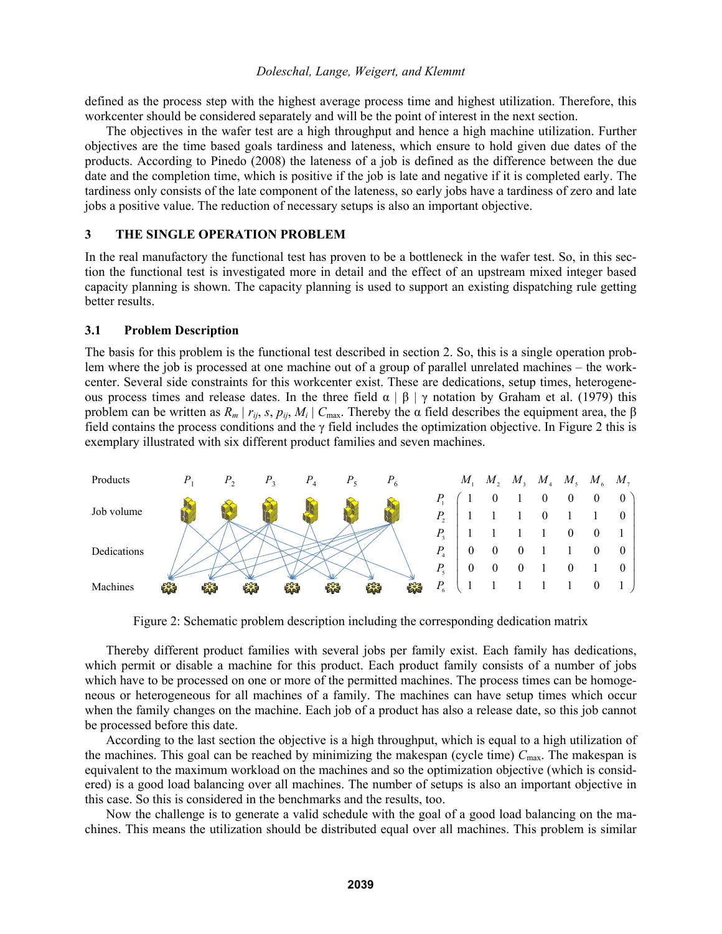defined as the process step with the highest average process time and highest utilization. Therefore, this workcenter should be considered separately and will be the point of interest in the next section.

The objectives in the wafer test are a high throughput and hence a high machine utilization. Further objectives are the time based goals tardiness and lateness, which ensure to hold given due dates of the products. According to Pinedo (2008) the lateness of a job is defined as the difference between the due date and the completion time, which is positive if the job is late and negative if it is completed early. The tardiness only consists of the late component of the lateness, so early jobs have a tardiness of zero and late jobs a positive value. The reduction of necessary setups is also an important objective.

## **3 THE SINGLE OPERATION PROBLEM**

In the real manufactory the functional test has proven to be a bottleneck in the wafer test. So, in this section the functional test is investigated more in detail and the effect of an upstream mixed integer based capacity planning is shown. The capacity planning is used to support an existing dispatching rule getting better results.

### **3.1 Problem Description**

The basis for this problem is the functional test described in section 2. So, this is a single operation problem where the job is processed at one machine out of a group of parallel unrelated machines – the workcenter. Several side constraints for this workcenter exist. These are dedications, setup times, heterogeneous process times and release dates. In the three field  $\alpha \mid \beta \mid \gamma$  notation by Graham et al. (1979) this problem can be written as  $R_m | r_{ij}$ , *s*,  $p_{ij}$ ,  $M_i | C_{max}$ . Thereby the α field describes the equipment area, the β field contains the process conditions and the  $\gamma$  field includes the optimization objective. In Figure 2 this is exemplary illustrated with six different product families and seven machines.



Figure 2: Schematic problem description including the corresponding dedication matrix

Thereby different product families with several jobs per family exist. Each family has dedications, which permit or disable a machine for this product. Each product family consists of a number of jobs which have to be processed on one or more of the permitted machines. The process times can be homogeneous or heterogeneous for all machines of a family. The machines can have setup times which occur when the family changes on the machine. Each job of a product has also a release date, so this job cannot be processed before this date.

According to the last section the objective is a high throughput, which is equal to a high utilization of the machines. This goal can be reached by minimizing the makespan (cycle time)  $C_{\text{max}}$ . The makespan is equivalent to the maximum workload on the machines and so the optimization objective (which is considered) is a good load balancing over all machines. The number of setups is also an important objective in this case. So this is considered in the benchmarks and the results, too.

Now the challenge is to generate a valid schedule with the goal of a good load balancing on the machines. This means the utilization should be distributed equal over all machines. This problem is similar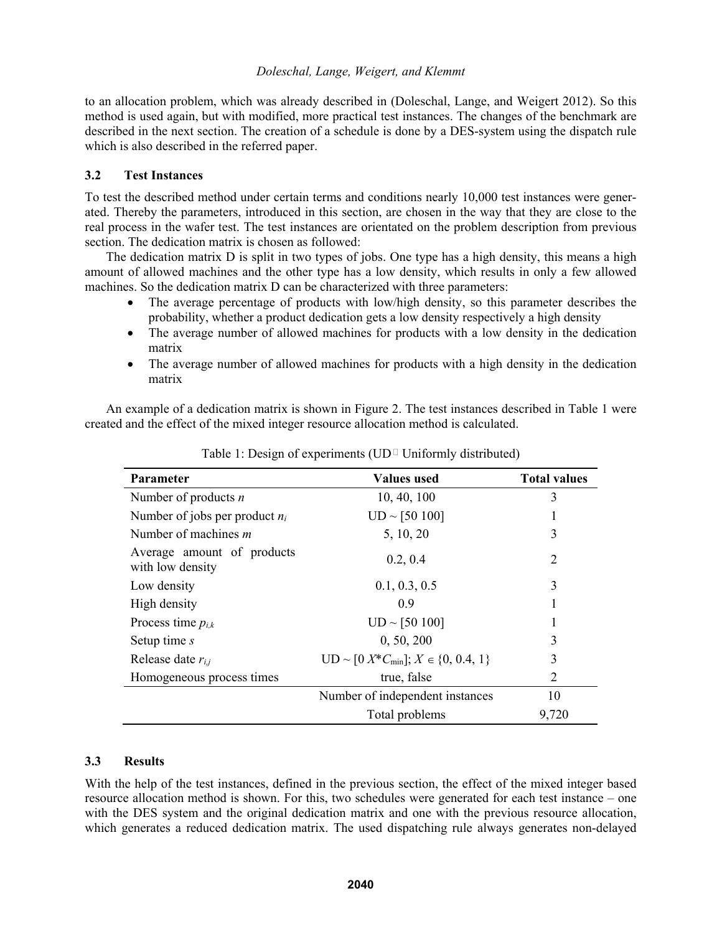to an allocation problem, which was already described in (Doleschal, Lange, and Weigert 2012). So this method is used again, but with modified, more practical test instances. The changes of the benchmark are described in the next section. The creation of a schedule is done by a DES-system using the dispatch rule which is also described in the referred paper.

# **3.2 Test Instances**

To test the described method under certain terms and conditions nearly 10,000 test instances were generated. Thereby the parameters, introduced in this section, are chosen in the way that they are close to the real process in the wafer test. The test instances are orientated on the problem description from previous section. The dedication matrix is chosen as followed:

The dedication matrix D is split in two types of jobs. One type has a high density, this means a high amount of allowed machines and the other type has a low density, which results in only a few allowed machines. So the dedication matrix D can be characterized with three parameters:

- The average percentage of products with low/high density, so this parameter describes the probability, whether a product dedication gets a low density respectively a high density
- The average number of allowed machines for products with a low density in the dedication matrix
- The average number of allowed machines for products with a high density in the dedication matrix

An example of a dedication matrix is shown in Figure 2. The test instances described in Table 1 were created and the effect of the mixed integer resource allocation method is calculated.

| <b>Parameter</b>                               | <b>Values used</b>                                 | <b>Total values</b> |
|------------------------------------------------|----------------------------------------------------|---------------------|
| Number of products $n$                         | 10, 40, 100                                        | 3                   |
| Number of jobs per product $n_i$               | $UD \sim [50 100]$                                 |                     |
| Number of machines $m$                         | 5, 10, 20                                          | 3                   |
| Average amount of products<br>with low density | 0.2, 0.4                                           | 2                   |
| Low density                                    | 0.1, 0.3, 0.5                                      | 3                   |
| High density                                   | 0.9                                                |                     |
| Process time $p_{i,k}$                         | $UD \sim [50 100]$                                 | 1                   |
| Setup time $s$                                 | 0, 50, 200                                         | 3                   |
| Release date $r_{i,i}$                         | $UD \sim [0 \ X^*C_{min}]$ ; $X \in \{0, 0.4, 1\}$ | 3                   |
| Homogeneous process times                      | true, false                                        | 2                   |
|                                                | Number of independent instances                    | 10                  |
|                                                | Total problems                                     | 9,720               |

Table 1: Design of experiments ( $UD$ <sup> $\Box$ </sup> Uniformly distributed)

## **3.3 Results**

With the help of the test instances, defined in the previous section, the effect of the mixed integer based resource allocation method is shown. For this, two schedules were generated for each test instance – one with the DES system and the original dedication matrix and one with the previous resource allocation, which generates a reduced dedication matrix. The used dispatching rule always generates non-delayed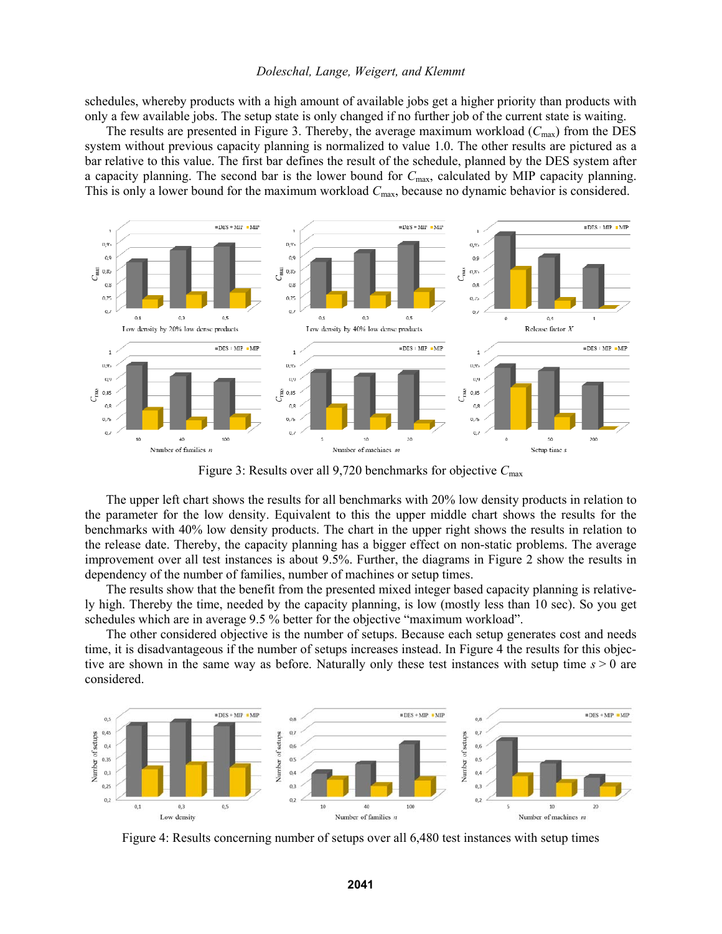schedules, whereby products with a high amount of available jobs get a higher priority than products with only a few available jobs. The setup state is only changed if no further job of the current state is waiting.

The results are presented in Figure 3. Thereby, the average maximum workload  $(C_{\text{max}})$  from the DES system without previous capacity planning is normalized to value 1.0. The other results are pictured as a bar relative to this value. The first bar defines the result of the schedule, planned by the DES system after a capacity planning. The second bar is the lower bound for *C*max, calculated by MIP capacity planning. This is only a lower bound for the maximum workload  $C_{\text{max}}$ , because no dynamic behavior is considered.



Figure 3: Results over all 9,720 benchmarks for objective  $C_{\text{max}}$ 

The upper left chart shows the results for all benchmarks with 20% low density products in relation to the parameter for the low density. Equivalent to this the upper middle chart shows the results for the benchmarks with 40% low density products. The chart in the upper right shows the results in relation to the release date. Thereby, the capacity planning has a bigger effect on non-static problems. The average improvement over all test instances is about 9.5%. Further, the diagrams in Figure 2 show the results in dependency of the number of families, number of machines or setup times.

The results show that the benefit from the presented mixed integer based capacity planning is relatively high. Thereby the time, needed by the capacity planning, is low (mostly less than 10 sec). So you get schedules which are in average 9.5 % better for the objective "maximum workload".

The other considered objective is the number of setups. Because each setup generates cost and needs time, it is disadvantageous if the number of setups increases instead. In Figure 4 the results for this objective are shown in the same way as before. Naturally only these test instances with setup time *s* > 0 are considered.



Figure 4: Results concerning number of setups over all 6,480 test instances with setup times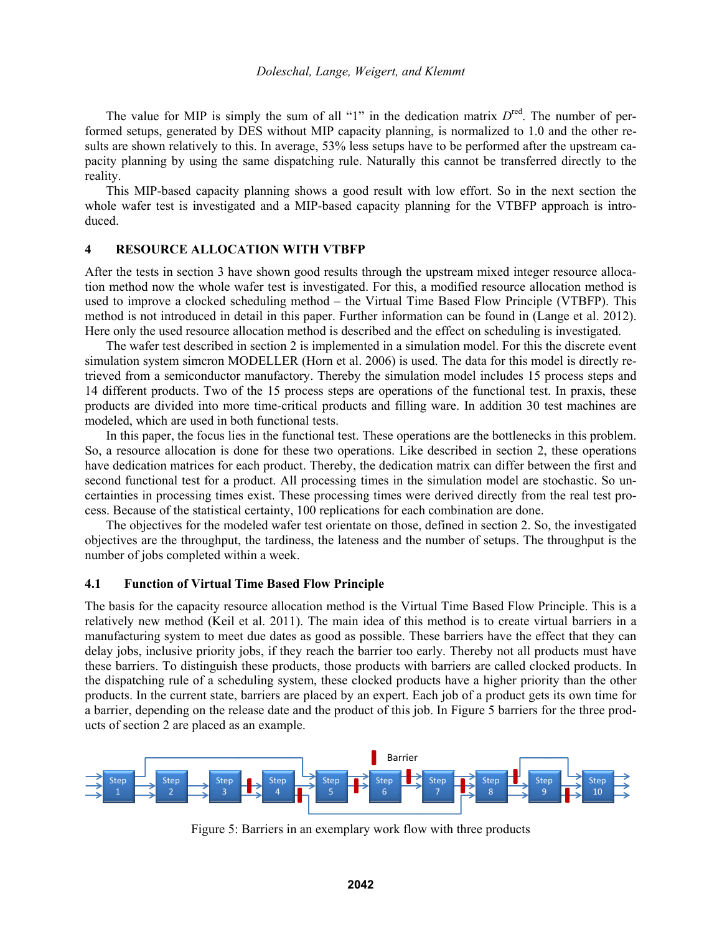The value for MIP is simply the sum of all "1" in the dedication matrix  $D^{\text{red}}$ . The number of performed setups, generated by DES without MIP capacity planning, is normalized to 1.0 and the other results are shown relatively to this. In average, 53% less setups have to be performed after the upstream capacity planning by using the same dispatching rule. Naturally this cannot be transferred directly to the reality.

This MIP-based capacity planning shows a good result with low effort. So in the next section the whole wafer test is investigated and a MIP-based capacity planning for the VTBFP approach is introduced.

### **4 RESOURCE ALLOCATION WITH VTBFP**

After the tests in section 3 have shown good results through the upstream mixed integer resource allocation method now the whole wafer test is investigated. For this, a modified resource allocation method is used to improve a clocked scheduling method – the Virtual Time Based Flow Principle (VTBFP). This method is not introduced in detail in this paper. Further information can be found in (Lange et al. 2012). Here only the used resource allocation method is described and the effect on scheduling is investigated.

The wafer test described in section 2 is implemented in a simulation model. For this the discrete event simulation system simcron MODELLER (Horn et al. 2006) is used. The data for this model is directly retrieved from a semiconductor manufactory. Thereby the simulation model includes 15 process steps and 14 different products. Two of the 15 process steps are operations of the functional test. In praxis, these products are divided into more time-critical products and filling ware. In addition 30 test machines are modeled, which are used in both functional tests.

In this paper, the focus lies in the functional test. These operations are the bottlenecks in this problem. So, a resource allocation is done for these two operations. Like described in section 2, these operations have dedication matrices for each product. Thereby, the dedication matrix can differ between the first and second functional test for a product. All processing times in the simulation model are stochastic. So uncertainties in processing times exist. These processing times were derived directly from the real test process. Because of the statistical certainty, 100 replications for each combination are done.

The objectives for the modeled wafer test orientate on those, defined in section 2. So, the investigated objectives are the throughput, the tardiness, the lateness and the number of setups. The throughput is the number of jobs completed within a week.

## **4.1 Function of Virtual Time Based Flow Principle**

The basis for the capacity resource allocation method is the Virtual Time Based Flow Principle. This is a relatively new method (Keil et al. 2011). The main idea of this method is to create virtual barriers in a manufacturing system to meet due dates as good as possible. These barriers have the effect that they can delay jobs, inclusive priority jobs, if they reach the barrier too early. Thereby not all products must have these barriers. To distinguish these products, those products with barriers are called clocked products. In the dispatching rule of a scheduling system, these clocked products have a higher priority than the other products. In the current state, barriers are placed by an expert. Each job of a product gets its own time for a barrier, depending on the release date and the product of this job. In Figure 5 barriers for the three products of section 2 are placed as an example.



Figure 5: Barriers in an exemplary work flow with three products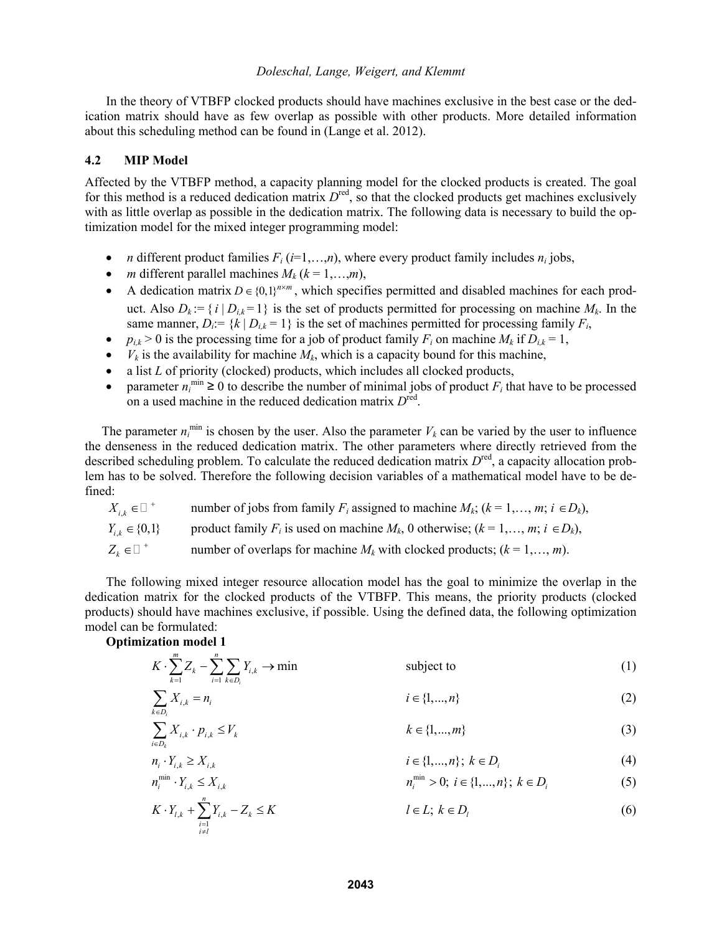In the theory of VTBFP clocked products should have machines exclusive in the best case or the dedication matrix should have as few overlap as possible with other products. More detailed information about this scheduling method can be found in (Lange et al. 2012).

### **4.2 MIP Model**

Affected by the VTBFP method, a capacity planning model for the clocked products is created. The goal for this method is a reduced dedication matrix  $D^{\text{red}}$ , so that the clocked products get machines exclusively with as little overlap as possible in the dedication matrix. The following data is necessary to build the optimization model for the mixed integer programming model:

- *n* different product families  $F_i$  ( $i=1,...,n$ ), where every product family includes  $n_i$  jobs,
- *m* different parallel machines  $M_k$  ( $k = 1,...,m$ ),
- A dedication matrix  $D \in \{0,1\}^{n \times m}$ , which specifies permitted and disabled machines for each product. Also  $D_k = \{ i \mid D_{i,k} = 1 \}$  is the set of products permitted for processing on machine  $M_k$ . In the same manner,  $D_i = \{k \mid D_{i,k} = 1\}$  is the set of machines permitted for processing family  $F_i$ ,
- $p_{i,k}$  > 0 is the processing time for a job of product family  $F_i$  on machine  $M_k$  if  $D_{i,k} = 1$ ,
- $V_k$  is the availability for machine  $M_k$ , which is a capacity bound for this machine,
- a list *L* of priority (clocked) products, which includes all clocked products,
- parameter  $n_i^{\text{min}} \ge 0$  to describe the number of minimal jobs of product  $F_i$  that have to be processed on a used machine in the reduced dedication matrix *D*red.

The parameter  $n_i^{\text{min}}$  is chosen by the user. Also the parameter  $V_k$  can be varied by the user to influence the denseness in the reduced dedication matrix. The other parameters where directly retrieved from the described scheduling problem. To calculate the reduced dedication matrix  $D^{\text{red}}$ , a capacity allocation problem has to be solved. Therefore the following decision variables of a mathematical model have to be defined:

| $X_{i,k} \in \square$ <sup>+</sup> | number of jobs from family $F_i$ assigned to machine $M_k$ ; $(k = 1, , m; i \in D_k)$ , |
|------------------------------------|------------------------------------------------------------------------------------------|
| $Y_{i,k} \in \{0,1\}$              | product family $F_i$ is used on machine $M_k$ , 0 otherwise; $(k = 1, , m; i \in D_k)$ , |
| $Z_{\nu} \in \square$ <sup>+</sup> | number of overlaps for machine $M_k$ with clocked products; $(k = 1, , m)$ .             |

The following mixed integer resource allocation model has the goal to minimize the overlap in the dedication matrix for the clocked products of the VTBFP. This means, the priority products (clocked products) should have machines exclusive, if possible. Using the defined data, the following optimization model can be formulated:

**Optimization model 1** 

$$
K \cdot \sum_{k=1}^{m} Z_k - \sum_{i=1}^{n} \sum_{k \in D_i} Y_{i,k} \to \min \qquad \text{subject to} \tag{1}
$$

$$
\sum_{k \in D_i} X_{i,k} = n_i \qquad i \in \{1, ..., n\}
$$
 (2)

$$
\sum_{i \in D_k} X_{i,k} \cdot p_{i,k} \le V_k \qquad k \in \{1,...,m\}
$$
\n(3)\n
$$
n_i \cdot Y_{i,k} \ge X_{i,k} \qquad i \in \{1,...,n\}; \ k \in D_i \qquad (4)
$$

$$
n_i^{\min} \cdot Y_{i,k} \le X_{i,k} \qquad \qquad n_i^{\min} > 0; \ i \in \{1, \dots, n\}; \ k \in D_i \tag{5}
$$

$$
K \cdot Y_{l,k} + \sum_{\substack{i=1 \ i \neq l}}^{n} Y_{i,k} - Z_k \le K \qquad l \in L; \ k \in D_l \tag{6}
$$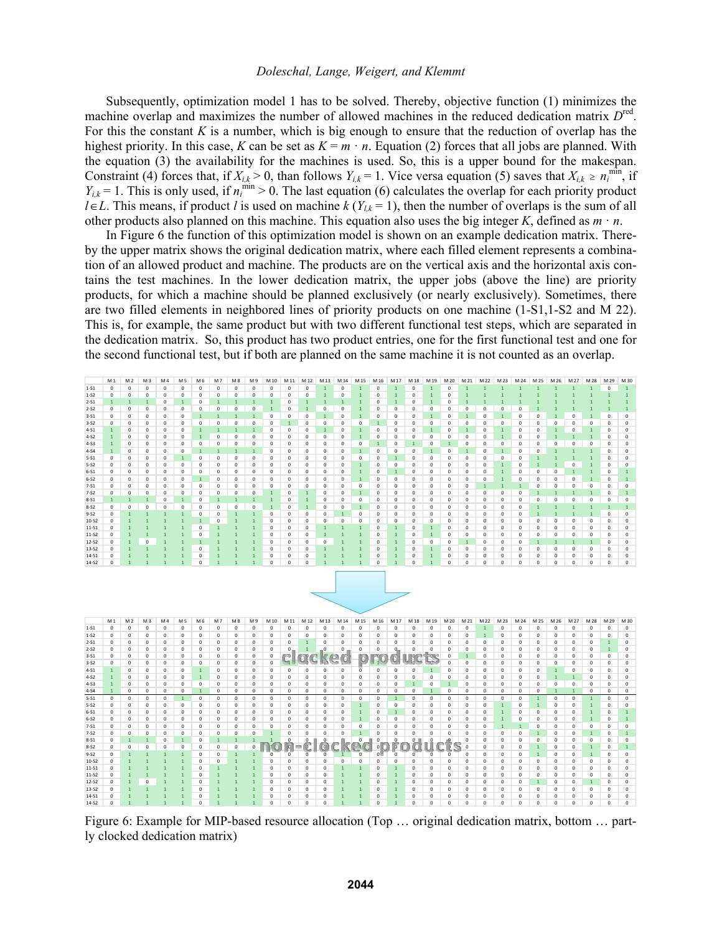Subsequently, optimization model 1 has to be solved. Thereby, objective function (1) minimizes the machine overlap and maximizes the number of allowed machines in the reduced dedication matrix *D*red. For this the constant *K* is a number, which is big enough to ensure that the reduction of overlap has the highest priority. In this case, *K* can be set as  $K = m \cdot n$ . Equation (2) forces that all jobs are planned. With the equation (3) the availability for the machines is used. So, this is a upper bound for the makespan. Constraint (4) forces that, if  $X_{i,k} > 0$ , than follows  $Y_{i,k} = 1$ . Vice versa equation (5) saves that  $X_{i,k} \ge n_i^{\min}$ , if  $Y_{i,k} = 1$ . This is only used, if  $n_i^{\text{min}} > 0$ . The last equation (6) calculates the overlap for each priority product  $l \in L$ . This means, if product *l* is used on machine  $k$  ( $Y_{l,k} = 1$ ), then the number of overlaps is the sum of all other products also planned on this machine. This equation also uses the big integer *K*, defined as *m* · *n*.

In Figure 6 the function of this optimization model is shown on an example dedication matrix. Thereby the upper matrix shows the original dedication matrix, where each filled element represents a combination of an allowed product and machine. The products are on the vertical axis and the horizontal axis contains the test machines. In the lower dedication matrix, the upper jobs (above the line) are priority products, for which a machine should be planned exclusively (or nearly exclusively). Sometimes, there are two filled elements in neighbored lines of priority products on one machine (1-S1,1-S2 and M 22). This is, for example, the same product but with two different functional test steps, which are separated in the dedication matrix. So, this product has two product entries, one for the first functional test and one for the second functional test, but if both are planned on the same machine it is not counted as an overlap.



Figure 6: Example for MIP-based resource allocation (Top … original dedication matrix, bottom … partly clocked dedication matrix)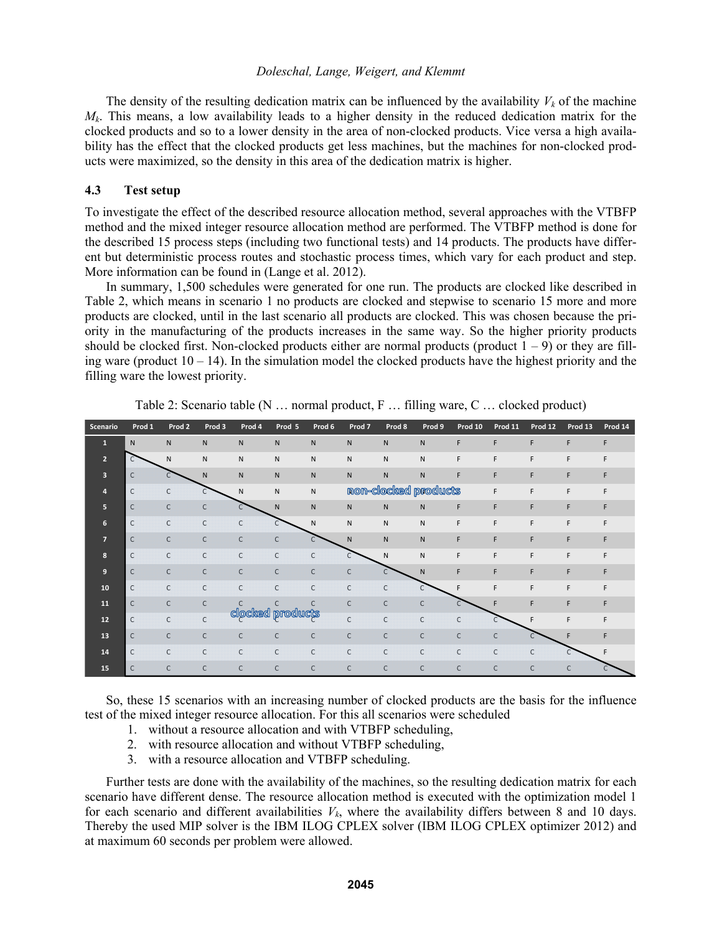The density of the resulting dedication matrix can be influenced by the availability  $V_k$  of the machine *Mk*. This means, a low availability leads to a higher density in the reduced dedication matrix for the clocked products and so to a lower density in the area of non-clocked products. Vice versa a high availability has the effect that the clocked products get less machines, but the machines for non-clocked products were maximized, so the density in this area of the dedication matrix is higher.

### **4.3 Test setup**

To investigate the effect of the described resource allocation method, several approaches with the VTBFP method and the mixed integer resource allocation method are performed. The VTBFP method is done for the described 15 process steps (including two functional tests) and 14 products. The products have different but deterministic process routes and stochastic process times, which vary for each product and step. More information can be found in (Lange et al. 2012).

In summary, 1,500 schedules were generated for one run. The products are clocked like described in Table 2, which means in scenario 1 no products are clocked and stepwise to scenario 15 more and more products are clocked, until in the last scenario all products are clocked. This was chosen because the priority in the manufacturing of the products increases in the same way. So the higher priority products should be clocked first. Non-clocked products either are normal products (product  $1 - 9$ ) or they are filling ware (product  $10 - 14$ ). In the simulation model the clocked products have the highest priority and the filling ware the lowest priority.

| Scenario       | Prod 1       | Prod 2       | Prod 3       | Prod 4           | Prod 5       | Prod 6       | Prod 7       | Prod 8               | Prod 9       | Prod 10      | Prod 11      | Prod 12      | Prod 13      | Prod 14 |
|----------------|--------------|--------------|--------------|------------------|--------------|--------------|--------------|----------------------|--------------|--------------|--------------|--------------|--------------|---------|
| 1              | N            | N            | ${\sf N}$    | ${\sf N}$        | ${\sf N}$    | ${\sf N}$    | ${\sf N}$    | ${\sf N}$            | ${\sf N}$    | F            | F            | F.           | F            | F       |
| $\overline{2}$ |              | $\mathsf{N}$ | ${\sf N}$    | N                | N            | ${\sf N}$    | ${\sf N}$    | ${\sf N}$            | ${\sf N}$    | F            | F            | F            | F            | F       |
| $\overline{3}$ | $\mathsf{C}$ |              | ${\sf N}$    | ${\sf N}$        | N            | ${\sf N}$    | ${\sf N}$    | ${\sf N}$            | ${\sf N}$    | F            | F            | F            | F            | F       |
| 4              | $\mathsf{C}$ | $\mathsf{C}$ |              | ${\sf N}$        | N            | ${\sf N}$    |              | non-clocked products |              |              | F            | F            | F            | F       |
| 5              | $\mathsf{C}$ | $\mathsf C$  | C            |                  | ${\sf N}$    | ${\sf N}$    | ${\sf N}$    | ${\sf N}$            | ${\sf N}$    | F            | F            | F            | F            | F       |
| 6              | $\mathsf{C}$ | $\mathsf{C}$ | $\mathsf C$  | $\mathsf{C}$     |              | ${\sf N}$    | ${\sf N}$    | ${\sf N}$            | ${\sf N}$    | F            | F            | F            | F            | F       |
| 7              | $\mathsf{C}$ | $\mathsf{C}$ | $\mathsf{C}$ | $\mathsf{C}$     |              |              | ${\sf N}$    | N                    | ${\sf N}$    | F            | F            | F            | F            | F       |
| 8              | $\mathsf{C}$ | $\mathsf{C}$ | $\mathsf{C}$ | C                | C            | C            |              | N                    | ${\sf N}$    | F            | F            | F            | F            | F       |
| 9              | $\mathsf{C}$ | $\mathsf{C}$ | $\mathsf C$  | $\mathsf{C}$     | C            | $\mathsf{C}$ | $\mathsf{C}$ |                      | ${\sf N}$    | F            | F            | F            | F            | F       |
| 10             | $\mathsf{C}$ | $\mathsf{C}$ | $\mathsf C$  | C                | $\mathsf{C}$ | $\mathsf{C}$ | $\mathsf{C}$ | $\mathsf{C}$         |              | F            | F            | F            | F            | F       |
| 11             | $\mathsf{C}$ | $\mathsf C$  | $\mathsf C$  | C                |              |              | $\mathsf C$  | $\mathsf{C}$         | $\mathsf C$  |              | F            | F            | F            | F       |
| 12             | $\mathsf{C}$ | $\mathsf{C}$ | $\mathsf C$  | clocked products |              |              | $\mathsf{C}$ | $\mathsf{C}$         | $\mathsf{C}$ | $\mathsf{C}$ |              | F            | F            | F       |
| 13             | $\mathsf{C}$ | $\mathsf{C}$ | $\mathsf{C}$ | $\mathsf{C}$     | $\mathsf{C}$ | $\mathsf{C}$ | $\mathsf{C}$ | $\mathsf{C}$         | $\mathsf{C}$ | $\mathsf{C}$ | $\mathsf{C}$ |              |              | F       |
| 14             | $\mathsf{C}$ | $\mathsf C$  | $\mathsf C$  | $\mathsf{C}$     | C            | C            | $\mathsf C$  | $\mathsf{C}$         | $\mathsf{C}$ | $\mathsf{C}$ | $\mathsf{C}$ | $\mathsf{C}$ |              |         |
| 15             | $\mathsf{C}$ | $\mathsf{C}$ | $\mathsf C$  | $\mathsf{C}$     | C            | C            | $\mathsf{C}$ | $\mathsf C$          | $\mathsf{C}$ | $\mathsf{C}$ | $\mathsf C$  | $\mathsf C$  | $\mathsf{C}$ |         |

Table 2: Scenario table (N … normal product, F … filling ware, C … clocked product)

So, these 15 scenarios with an increasing number of clocked products are the basis for the influence test of the mixed integer resource allocation. For this all scenarios were scheduled

- 1. without a resource allocation and with VTBFP scheduling,
- 2. with resource allocation and without VTBFP scheduling,
- 3. with a resource allocation and VTBFP scheduling.

Further tests are done with the availability of the machines, so the resulting dedication matrix for each scenario have different dense. The resource allocation method is executed with the optimization model 1 for each scenario and different availabilities  $V_k$ , where the availability differs between 8 and 10 days. Thereby the used MIP solver is the IBM ILOG CPLEX solver (IBM ILOG CPLEX optimizer 2012) and at maximum 60 seconds per problem were allowed.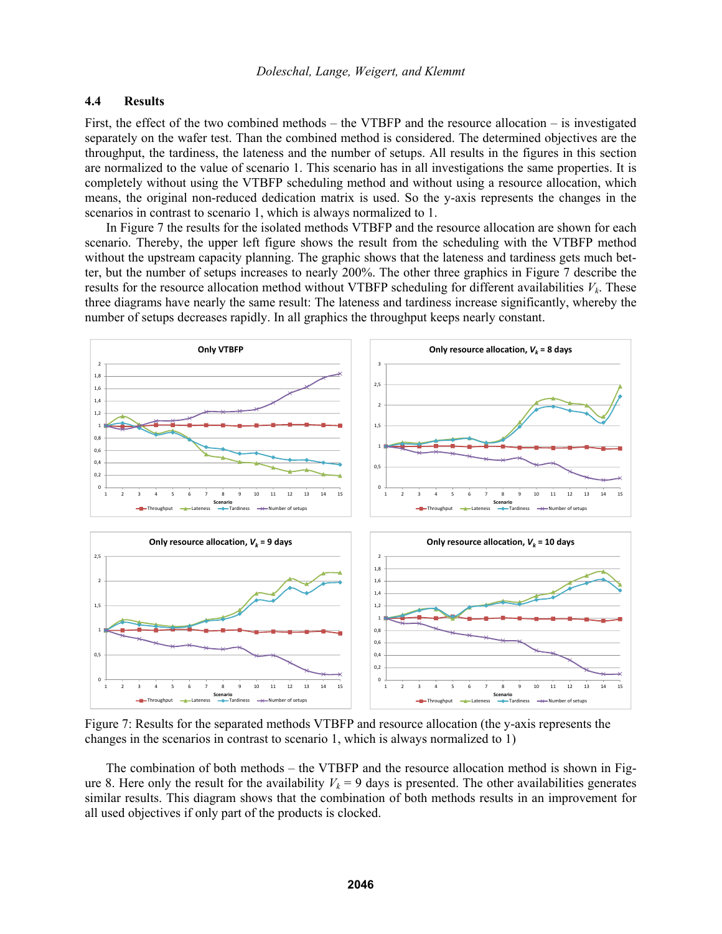#### **4.4 Results**

First, the effect of the two combined methods – the VTBFP and the resource allocation – is investigated separately on the wafer test. Than the combined method is considered. The determined objectives are the throughput, the tardiness, the lateness and the number of setups. All results in the figures in this section are normalized to the value of scenario 1. This scenario has in all investigations the same properties. It is completely without using the VTBFP scheduling method and without using a resource allocation, which means, the original non-reduced dedication matrix is used. So the y-axis represents the changes in the scenarios in contrast to scenario 1, which is always normalized to 1.

In Figure 7 the results for the isolated methods VTBFP and the resource allocation are shown for each scenario. Thereby, the upper left figure shows the result from the scheduling with the VTBFP method without the upstream capacity planning. The graphic shows that the lateness and tardiness gets much better, but the number of setups increases to nearly 200%. The other three graphics in Figure 7 describe the results for the resource allocation method without VTBFP scheduling for different availabilities  $V_k$ . These three diagrams have nearly the same result: The lateness and tardiness increase significantly, whereby the number of setups decreases rapidly. In all graphics the throughput keeps nearly constant.



Figure 7: Results for the separated methods VTBFP and resource allocation (the y-axis represents the changes in the scenarios in contrast to scenario 1, which is always normalized to 1)

The combination of both methods – the VTBFP and the resource allocation method is shown in Figure 8. Here only the result for the availability  $V_k = 9$  days is presented. The other availabilities generates similar results. This diagram shows that the combination of both methods results in an improvement for all used objectives if only part of the products is clocked.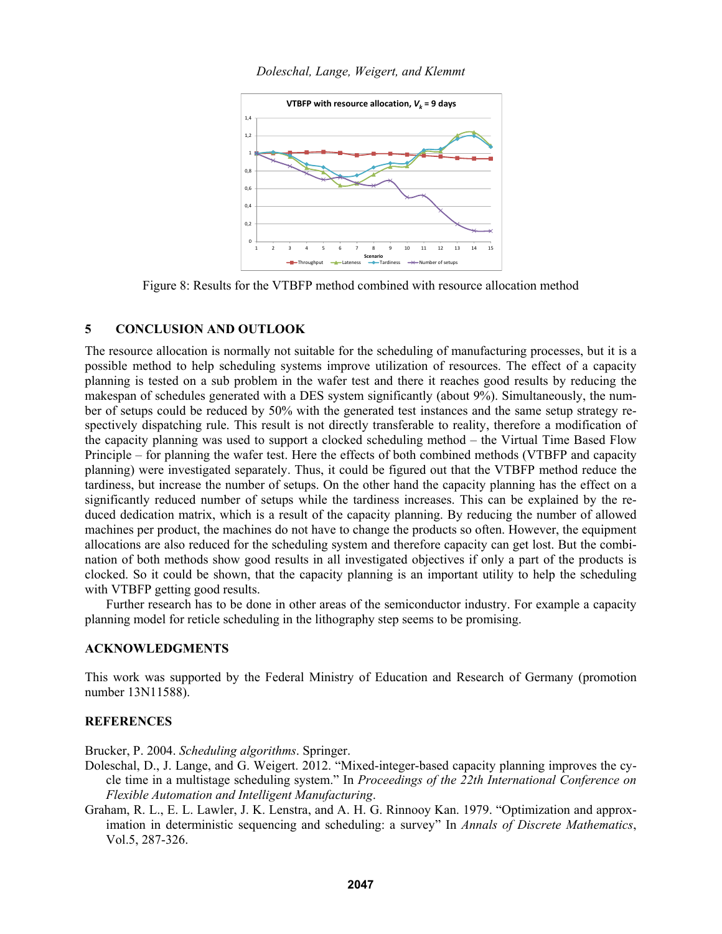*Doleschal, Lange, Weigert, and Klemmt* 



Figure 8: Results for the VTBFP method combined with resource allocation method

### **5 CONCLUSION AND OUTLOOK**

The resource allocation is normally not suitable for the scheduling of manufacturing processes, but it is a possible method to help scheduling systems improve utilization of resources. The effect of a capacity planning is tested on a sub problem in the wafer test and there it reaches good results by reducing the makespan of schedules generated with a DES system significantly (about 9%). Simultaneously, the number of setups could be reduced by 50% with the generated test instances and the same setup strategy respectively dispatching rule. This result is not directly transferable to reality, therefore a modification of the capacity planning was used to support a clocked scheduling method – the Virtual Time Based Flow Principle – for planning the wafer test. Here the effects of both combined methods (VTBFP and capacity planning) were investigated separately. Thus, it could be figured out that the VTBFP method reduce the tardiness, but increase the number of setups. On the other hand the capacity planning has the effect on a significantly reduced number of setups while the tardiness increases. This can be explained by the reduced dedication matrix, which is a result of the capacity planning. By reducing the number of allowed machines per product, the machines do not have to change the products so often. However, the equipment allocations are also reduced for the scheduling system and therefore capacity can get lost. But the combination of both methods show good results in all investigated objectives if only a part of the products is clocked. So it could be shown, that the capacity planning is an important utility to help the scheduling with VTBFP getting good results.

Further research has to be done in other areas of the semiconductor industry. For example a capacity planning model for reticle scheduling in the lithography step seems to be promising.

### **ACKNOWLEDGMENTS**

This work was supported by the Federal Ministry of Education and Research of Germany (promotion number 13N11588).

#### **REFERENCES**

Brucker, P. 2004. *Scheduling algorithms*. Springer.

- Doleschal, D., J. Lange, and G. Weigert. 2012. "Mixed-integer-based capacity planning improves the cycle time in a multistage scheduling system." In *Proceedings of the 22th International Conference on Flexible Automation and Intelligent Manufacturing*.
- Graham, R. L., E. L. Lawler, J. K. Lenstra, and A. H. G. Rinnooy Kan. 1979. "Optimization and approximation in deterministic sequencing and scheduling: a survey" In *Annals of Discrete Mathematics*, Vol.5, 287-326.